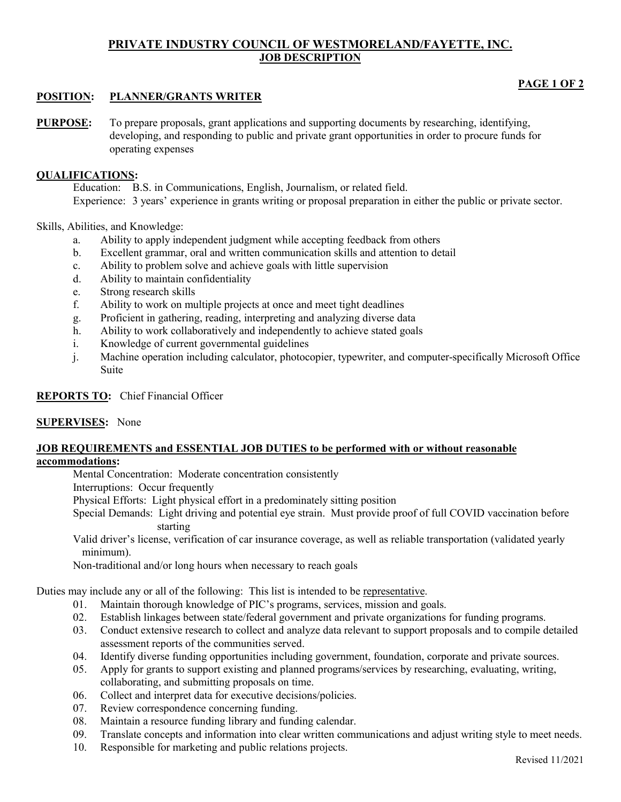# **PRIVATE INDUSTRY COUNCIL OF WESTMORELAND/FAYETTE, INC. JOB DESCRIPTION**

# **PAGE 1 OF 2**

## **POSITION: PLANNER/GRANTS WRITER**

**PURPOSE:** To prepare proposals, grant applications and supporting documents by researching, identifying, developing, and responding to public and private grant opportunities in order to procure funds for operating expenses

### **QUALIFICATIONS:**

Education: B.S. in Communications, English, Journalism, or related field. Experience: 3 years' experience in grants writing or proposal preparation in either the public or private sector.

### Skills, Abilities, and Knowledge:

- a. Ability to apply independent judgment while accepting feedback from others
- b. Excellent grammar, oral and written communication skills and attention to detail
- c. Ability to problem solve and achieve goals with little supervision
- d. Ability to maintain confidentiality
- e. Strong research skills
- f. Ability to work on multiple projects at once and meet tight deadlines
- g. Proficient in gathering, reading, interpreting and analyzing diverse data
- h. Ability to work collaboratively and independently to achieve stated goals
- i. Knowledge of current governmental guidelines
- j. Machine operation including calculator, photocopier, typewriter, and computer-specifically Microsoft Office Suite

## **REPORTS TO:** Chief Financial Officer

### **SUPERVISES:** None

#### **JOB REQUIREMENTS and ESSENTIAL JOB DUTIES to be performed with or without reasonable accommodations:**

Mental Concentration: Moderate concentration consistently

Interruptions: Occur frequently

Physical Efforts: Light physical effort in a predominately sitting position

Special Demands: Light driving and potential eye strain. Must provide proof of full COVID vaccination before starting

Valid driver's license, verification of car insurance coverage, as well as reliable transportation (validated yearly minimum).

Non-traditional and/or long hours when necessary to reach goals

Duties may include any or all of the following: This list is intended to be representative.

- 01. Maintain thorough knowledge of PIC's programs, services, mission and goals.
- 02. Establish linkages between state/federal government and private organizations for funding programs.
- 03. Conduct extensive research to collect and analyze data relevant to support proposals and to compile detailed assessment reports of the communities served.
- 04. Identify diverse funding opportunities including government, foundation, corporate and private sources.
- 05. Apply for grants to support existing and planned programs/services by researching, evaluating, writing, collaborating, and submitting proposals on time.
- 06. Collect and interpret data for executive decisions/policies.
- 07. Review correspondence concerning funding.
- 08. Maintain a resource funding library and funding calendar.
- 09. Translate concepts and information into clear written communications and adjust writing style to meet needs.
- 10. Responsible for marketing and public relations projects.